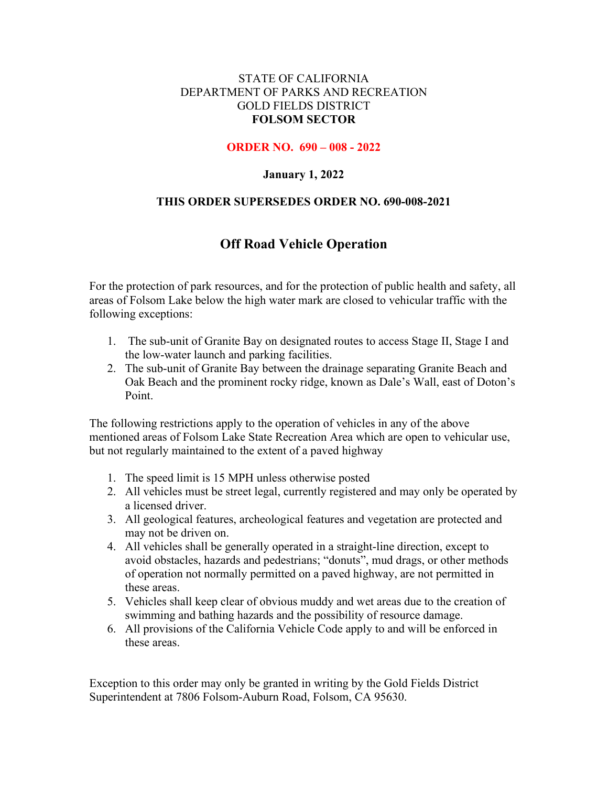#### STATE OF CALIFORNIA DEPARTMENT OF PARKS AND RECREATION GOLD FIELDS DISTRICT **FOLSOM SECTOR**

#### **ORDER NO. 690 – 008 - 2022**

### **January 1, 2022**

#### **THIS ORDER SUPERSEDES ORDER NO. 690-008-2021**

# **Off Road Vehicle Operation**

For the protection of park resources, and for the protection of public health and safety, all areas of Folsom Lake below the high water mark are closed to vehicular traffic with the following exceptions:

- 1. The sub-unit of Granite Bay on designated routes to access Stage II, Stage I and the low-water launch and parking facilities.
- 2. The sub-unit of Granite Bay between the drainage separating Granite Beach and Oak Beach and the prominent rocky ridge, known as Dale's Wall, east of Doton's Point.

The following restrictions apply to the operation of vehicles in any of the above mentioned areas of Folsom Lake State Recreation Area which are open to vehicular use, but not regularly maintained to the extent of a paved highway

- 1. The speed limit is 15 MPH unless otherwise posted
- 2. All vehicles must be street legal, currently registered and may only be operated by a licensed driver.
- 3. All geological features, archeological features and vegetation are protected and may not be driven on.
- 4. All vehicles shall be generally operated in a straight-line direction, except to avoid obstacles, hazards and pedestrians; "donuts", mud drags, or other methods of operation not normally permitted on a paved highway, are not permitted in these areas.
- 5. Vehicles shall keep clear of obvious muddy and wet areas due to the creation of swimming and bathing hazards and the possibility of resource damage.
- 6. All provisions of the California Vehicle Code apply to and will be enforced in these areas.

Exception to this order may only be granted in writing by the Gold Fields District Superintendent at 7806 Folsom-Auburn Road, Folsom, CA 95630.